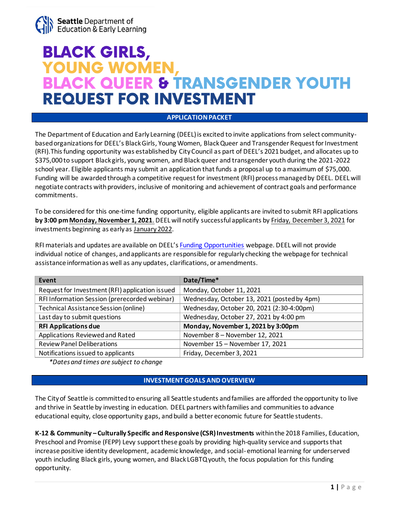

### **BLACK GIRLS,** YOUNG WOMEN, **BLACK QUEER & TRANSGENDER YOUTH REQUEST FOR INVESTMENT**

#### **APPLICATION PACKET**

The Department of Education and Early Learning (DEEL) is excited to invite applications from select communitybased organizations for DEEL's Black Girls, Young Women, Black Queer and Transgender Request for Investment (RFI).This funding opportunity was established by City Council as part of DEEL's 2021 budget, and allocates up to \$375,000 to support Black girls, young women, and Black queer and transgender youth during the 2021-2022 school year. Eligible applicants may submit an application that funds a proposal up to a maximum of \$75,000. Funding will be awarded through a competitive request for investment (RFI) process managed by DEEL. DEEL will negotiate contracts with providers, inclusive of monitoring and achievement of contract goals and performance commitments.

To be considered for this one-time funding opportunity, eligible applicants are invited to submit RFI applications **by 3:00 pm Monday, November 1, 2021**. DEEL will notify successful applicants by Friday, December 3, 2021 for investments beginning as early as January 2022.

RFI materials and updates are available on DEEL's [Funding Opportunities](http://www.seattle.gov/education/for-providers/funding-opportunities) webpage. DEEL will not provide individual notice of changes, and applicants are responsible for regularly checking the webpage for technical assistance information as well as any updates, clarifications, or amendments.

| Event                                           | Date/Time*                                  |
|-------------------------------------------------|---------------------------------------------|
| Request for Investment (RFI) application issued | Monday, October 11, 2021                    |
| RFI Information Session (prerecorded webinar)   | Wednesday, October 13, 2021 (posted by 4pm) |
| Technical Assistance Session (online)           | Wednesday, October 20, 2021 (2:30-4:00pm)   |
| Last day to submit questions                    | Wednesday, October 27, 2021 by 4:00 pm      |
| <b>RFI Applications due</b>                     | Monday, November 1, 2021 by 3:00pm          |
| Applications Reviewed and Rated                 | November 8 - November 12, 2021              |
| <b>Review Panel Deliberations</b>               | November 15 - November 17, 2021             |
| Notifications issued to applicants              | Friday, December 3, 2021                    |

*\*Dates and times are subject to change*

#### **INVESTMENT GOALS AND OVERVIEW**

The City of Seattle is committed to ensuring all Seattle students and families are afforded the opportunity to live and thrive in Seattle by investing in education. DEEL partners with families and communities to advance educational equity, close opportunity gaps, and build a better economic future for Seattle students.

**K-12 & Community – Culturally Specific and Responsive (CSR) Investments** within the 2018 Families, Education, Preschool and Promise (FEPP) Levy support these goals by providing high-quality service and supports that increase positive identity development, academic knowledge, and social-emotional learning for underserved youth including Black girls, young women, and Black LGBTQyouth, the focus population for this funding opportunity.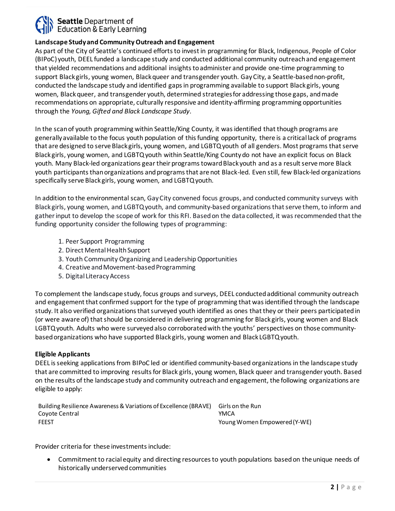

#### **Landscape Studyand Community Outreach and Engagement**

As part of the City of Seattle's continued efforts to invest in programming for Black, Indigenous, People of Color (BIPoC) youth, DEEL funded a landscape study and conducted additional community outreach and engagement that yielded recommendations and additional insightsto administer and provide one-time programming to support Black girls, young women, Black queer and transgender youth. Gay City, a Seattle-based non-profit, conducted the landscape study and identified gaps in programming available to support Black girls, young women, Black queer, and transgender youth, determined strategies for addressing those gaps, and made recommendations on appropriate, culturally responsive and identity-affirming programming opportunities through the *Young, Gifted and Black Landscape Study*.

In the scanof youth programming within Seattle/King County, it was identified that though programs are generally available to the focus youth population of this funding opportunity, there is a critical lack of programs that are designed to serve Black girls, young women, and LGBTQyouth of all genders. Most programs thatserve Black girls, young women, and LGBTQyouth within Seattle/King County do not have an explicit focus on Black youth. Many Black-led organizations geartheir programstoward Black youth and as a result servemore Black youth participants than organizations and programs that are not Black-led. Even still, few Black-led organizations specifically serve Black girls, young women, and LGBTQyouth.

In addition to the environmental scan, Gay City convened focus groups, and conducted community surveys with Black girls, young women, and LGBTQ youth, and community-based organizations that serve them, to inform and gather input to develop the scope of work for this RFI. Based on the data collected, it wasrecommended that the funding opportunity consider the following types of programming:

- 1. Peer Support Programming
- 2. Direct Mental Health Support
- 3. Youth Community Organizing and Leadership Opportunities
- 4. Creative and Movement-based Programming
- 5. Digital Literacy Access

To complement the landscape study, focus groups and surveys, DEEL conducted additional community outreach and engagement that confirmed support for the type of programming that was identified through the landscape study. It also verified organizations that surveyed youth identified as ones that they or their peers participated in (or were aware of) that should be considered in delivering programming for Black girls, young women and Black LGBTQyouth. Adults who were surveyed also corroborated with the youths' perspectives on those communitybased organizations who have supported Black girls, young women and Black LGBTQ youth.

#### **Eligible Applicants**

DEEL is seeking applications from BIPoC led or identified community-based organizations in the landscape study that are committed to improving results for Black girls, young women, Black queer and transgender youth. Based on the results of the landscape study and community outreach and engagement, the following organizations are eligible to apply:

| Building Resilience Awareness & Variations of Excellence (BRAVE) Girls on the Run |                              |
|-----------------------------------------------------------------------------------|------------------------------|
| Covote Central                                                                    | YMCA                         |
| <b>FEEST</b>                                                                      | Young Women Empowered (Y-WE) |

Provider criteria for these investments include:

• Commitment to racial equity and directing resources to youth populations based on the unique needs of historically underserved communities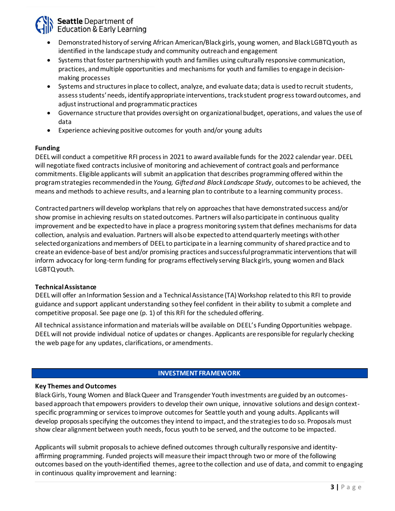

- Demonstrated history of serving African American/Black girls, young women, and Black LGBTQ youth as identified in the landscape study and community outreach and engagement
- Systems that foster partnership with youth and families using culturally responsive communication, practices, and multiple opportunities and mechanisms for youth and families to engage in decisionmaking processes
- Systems and structures in place to collect, analyze, and evaluate data; data is used to recruit students, assess students' needs, identify appropriate interventions, track student progress toward outcomes, and adjust instructional and programmatic practices
- Governance structure that provides oversight on organizational budget, operations, and values the use of data
- Experience achieving positive outcomes for youth and/or young adults

#### **Funding**

DEEL will conduct a competitive RFI process in 2021 to award available funds for the 2022 calendar year. DEEL will negotiate fixed contracts inclusive of monitoring and achievement of contract goals and performance commitments. Eligible applicants will submit an application that describes programming offered within the program strategies recommendedin the *Young, Gifted and Black Landscape Study*, outcomes to be achieved, the means and methods to achieve results, and a learning plan to contribute to a learning community process.

Contracted partners will develop workplans that rely on approaches that have demonstrated success and/or show promise in achieving results on stated outcomes. Partners will also participate in continuous quality improvement and be expected to have in place a progress monitoring system that defines mechanisms for data collection, analysis and evaluation. Partners will also be expected to attend quarterly meetings with other selected organizations and members of DEEL to participate in a learning community of shared practice and to create an evidence-base of best and/or promising practices and successful programmatic interventions that will inform advocacy for long-term funding for programs effectively serving Black girls, young women and Black LGBTQyouth.

#### **Technical Assistance**

DEEL will offer an Information Session and a Technical Assistance (TA) Workshop related to this RFI to provide guidance and support applicant understanding so they feel confident in their ability to submit a complete and competitive proposal. See page one (p. 1) of this RFI for the scheduled offering.

All technical assistance information and materials will be available on DEEL's Funding Opportunities webpage. DEEL will not provide individual notice of updates or changes. Applicants are responsible for regularly checking the web page for any updates, clarifications, or amendments.

#### **INVESTMENT FRAMEWORK**

#### **Key Themes and Outcomes**

Black Girls, Young Women and Black Queer and Transgender Youth investments are guided by an outcomesbased approach that empowers providers to develop their own unique, innovative solutions and design contextspecific programming or services to improve outcomes for Seattle youth and young adults. Applicants will develop proposals specifying the outcomes they intend to impact, and the strategies to do so. Proposals must show clear alignment between youth needs, focus youth to be served, and the outcome to be impacted.

Applicants will submit proposals to achieve defined outcomes through culturally responsive and identityaffirming programming. Funded projects will measure their impact through two or more of the following outcomes based on the youth-identified themes, agree to the collection and use of data, and commit to engaging in continuous quality improvement and learning: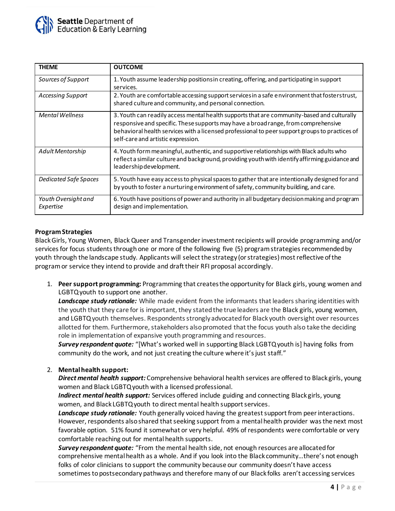

| <b>THEME</b>                     | <b>OUTCOME</b>                                                                                                                                                                                                                                                                                                           |
|----------------------------------|--------------------------------------------------------------------------------------------------------------------------------------------------------------------------------------------------------------------------------------------------------------------------------------------------------------------------|
| Sources of Support               | 1. Youth assume leadership positions in creating, offering, and participating in support<br>services.                                                                                                                                                                                                                    |
| Accessing Support                | 2. Youth are comfortable accessing support services in a safe environment that fosters trust,<br>shared culture and community, and personal connection.                                                                                                                                                                  |
| <b>Mental Wellness</b>           | 3. Youth can readily access mental health supports that are community-based and culturally<br>responsive and specific. These supports may have a broad range, from comprehensive<br>behavioral health services with a licensed professional to peer support groups to practices of<br>self-care and artistic expression. |
| Adult Mentorship                 | 4. Youth form meaningful, authentic, and supportive relationships with Black adults who<br>reflect a similar culture and background, providing youth with identify affirming guidance and<br>leadership development.                                                                                                     |
| <b>Dedicated Safe Spaces</b>     | 5. Youth have easy access to physical spaces to gather that are intentionally designed for and<br>by youth to foster a nurturing environment of safety, community building, and care.                                                                                                                                    |
| Youth Oversight and<br>Expertise | 6. Youth have positions of power and authority in all budgetary decision making and program<br>design and implementation.                                                                                                                                                                                                |

#### **Program Strategies**

Black Girls, Young Women, Black Queer and Transgenderinvestment recipients will provide programming and/or services for focus students through one or more of the following five (5) program strategies recommended by youth through the landscape study. Applicants will select the strategy (or strategies)most reflective of the program or service they intend to provide and draft their RFI proposal accordingly.

1. **Peer support programming:** Programming that creates the opportunity for Black girls, young women and LGBTQ youth to support one another.

*Landscape study rationale:* While made evident from the informants that leaders sharing identities with the youth that they care for is important, they stated the true leaders are the Black girls, young women, and LGBTQyouth themselves. Respondents strongly advocated for Black youth oversight over resources allotted for them. Furthermore, stakeholders also promoted that the focus youth also take the deciding role in implementation of expansive youth programming and resources.

*Survey respondent quote:* "[What's worked well in supporting Black LGBTQ youth is] having folks from community do the work, and not just creating the culture where it's just staff."

#### 2. **Mental health support:**

*Direct mental health support:* Comprehensive behavioral health services are offered to Black girls, young women and Black LGBTQ youth with a licensed professional.

*Indirect mental health support:* Services offered include guiding and connecting Black girls, young women, and Black LGBTQ youth to direct mental health support services.

*Landscape study rationale:* Youth generally voiced having the greatest support from peer interactions. However, respondents also shared that seeking support from a mental health provider was the next most favorable option. 51% found it somewhat or very helpful. 49% of respondents were comfortable or very comfortable reaching out for mental health supports.

*Survey respondent quote:* "From the mental health side, not enough resources are allocated for comprehensive mental health as a whole. And if you look into the Black community…there's not enough folks of color clinicians to support the community because our community doesn't have access sometimes to postsecondary pathways and therefore many of our Black folks aren't accessing services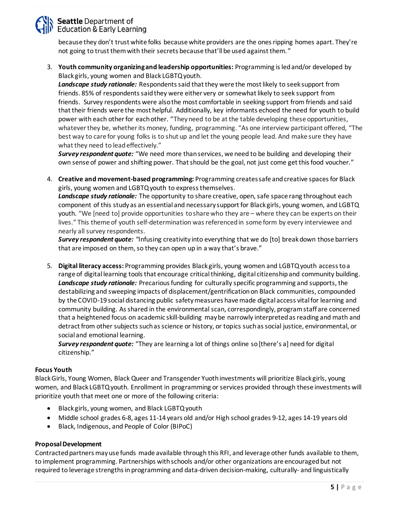

because they don't trust white folks because white providers are the ones ripping homes apart. They're not going to trust them with their secrets because that'll be used against them. "

3. **Youth community organizing and leadership opportunities:** Programming is led and/or developed by Black girls, young women and Black LGBTQ youth.

*Landscape study rationale:* Respondents said that they were the most likely to seek support from friends. 85% of respondents saidthey were either very or somewhat likely to seek support from friends. Survey respondents were also the most comfortable in seeking support from friends and said that their friends were the most helpful. Additionally, key informants echoed the need for youth to build power with each other for each other. "Theyneed to be at the table developing these opportunities, whatever they be, whether its money, funding, programming. "As one interview participant offered, "The best way to care for young folks is to shut up and let the young people lead. And make sure they have what they need to lead effectively."

*Survey respondent quote:* "We need more than services, we need to be building and developing their own sense of power and shifting power. That should be the goal, not just come get this food voucher."

4. **Creative and movement-based programming:** Programming creates safe and creative spaces for Black girls, young women and LGBTQ youth to express themselves.

*Landscape study rationale:* The opportunity to share creative, open, safe space rang throughout each component of this study as an essential and necessary support for Black girls, young women, and LGBTQ youth. "We [need to] provide opportunities to share who they are – where they can be experts on their lives." This theme of youth self-determination was referenced in some form by every interviewee and nearly all survey respondents.

*Survey respondent quote: "*Infusing creativity into everything that we do [to] break down those barriers that are imposed on them, so they can open up in a way that's brave."

5. **Digital literacy access:** Programming provides Black girls, young women and LGBTQ youth access toa range of digital learning tools that encourage critical thinking, digital citizenshipand community building. *Landscape study rationale:* Precarious funding for culturally specific programming and supports, the destabilizing and sweeping impacts of displacement/gentrification on Black communities, compounded by the COVID-19 social distancing public safety measures have made digital access vital for learning and community building. As shared in the environmental scan, correspondingly, program staff are concerned that a heightened focus on academic skill-building may be narrowly interpreted as reading and math and detract from other subjects such as science or history, or topics such as social justice, environmental, or social and emotional learning.

*Survey respondent quote:* "They are learning a lot of things online so [there's a] need for digital citizenship."

#### **Focus Youth**

Black Girls, Young Women, Black Queer and Transgender Yuoth investments will prioritize Black girls, young women, and Black LGBTQ youth. Enrollment in programming or services provided through these investments will prioritize youth that meet one or more of the following criteria:

- Black girls, young women, and Black LGBTQyouth
- Middle school grades 6-8, ages 11-14 years old and/or High school grades 9-12, ages 14-19 years old
- Black, Indigenous, and People of Color (BIPoC)

#### **ProposalDevelopment**

Contracted partners may use funds made available through this RFI, and leverage other funds available to them, to implement programming. Partnerships with schools and/or other organizations are encouraged but not required to leverage strengths in programming and data-driven decision-making, culturally- and linguistically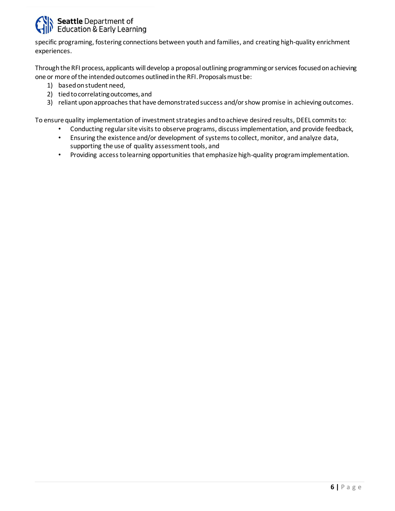

specific programing, fostering connections between youth and families, and creating high-quality enrichment experiences.

Through the RFI process, applicants will develop a proposal outlining programming or services focused on achieving one or more of the intended outcomes outlined in the RFI. Proposals must be:

- 1) based on student need,
- 2) tied to correlating outcomes, and
- 3) reliant upon approaches that have demonstrated success and/or show promise in achieving outcomes.

To ensure quality implementation of investment strategies and to achieve desired results, DEEL commits to:

- Conducting regular site visits to observe programs, discuss implementation, and provide feedback,
- Ensuring the existence and/or development of systems to collect, monitor, and analyze data, supporting the use of quality assessment tools, and
- Providing access to learning opportunities that emphasize high-quality program implementation.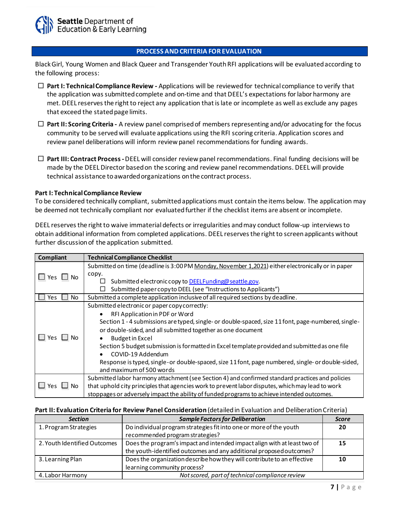#### **PROCESS AND CRITERIA FOR EVALUATION**

Black Girl, Young Women and Black Queer and Transgender YouthRFI applications will be evaluated according to the following process:

- **Part I: Technical Compliance Review -** Applications will be reviewed for technical compliance to verify that the application was submitted complete and on-time and that DEEL's expectations for labor harmony are met. DEEL reserves the right to reject any application that is late or incomplete as well as exclude any pages that exceed the stated page limits.
- **Part II: Scoring Criteria -** A review panel comprised of members representing and/or advocating for the focus community to be servedwill evaluate applications using the RFI scoring criteria. Application scores and review panel deliberations will inform review panel recommendations for funding awards.
- **Part III: Contract Process-**DEEL will consider review panel recommendations. Final funding decisions will be made by the DEEL Director based on the scoring and review panel recommendations. DEEL will provide technical assistance to awarded organizations on the contract process.

#### **Part I: Technical Compliance Review**

To be considered technically compliant, submitted applications must contain the items below. The application may be deemed not technically compliant nor evaluated further if the checklist items are absent or incomplete.

DEEL reserves the right to waive immaterial defects or irregularities and may conduct follow-up interviews to obtain additional information from completed applications. DEEL reserves the right to screen applicants without further discussion of the application submitted.

| <b>Compliant</b> | <b>Technical Compliance Checklist</b>                                                               |
|------------------|-----------------------------------------------------------------------------------------------------|
|                  | Submitted on time (deadline is 3:00 PM Monday, November 1,2021) either electronically or in paper   |
| $\Box$ No<br>Yes | copy.                                                                                               |
|                  | Submitted electronic copy to DEELFunding@seattle.gov.<br>$\Box$                                     |
|                  | Submitted paper copy to DEEL (see "Instructions to Applicants")                                     |
| No<br>Yes        | Submitted a complete application inclusive of all required sections by deadline.                    |
|                  | Submitted electronic or paper copy correctly:                                                       |
|                  | RFI Application in PDF or Word                                                                      |
|                  | Section 1 - 4 submissions are typed, single- or double-spaced, size 11 font, page-numbered, single- |
|                  | or double-sided, and all submitted together as one document                                         |
| Yes $\Box$ No    | <b>Budget in Excel</b>                                                                              |
|                  | Section 5 budget submission is formatted in Excel template provided and submitted as one file       |
|                  | COVID-19 Addendum                                                                                   |
|                  | Response is typed, single-or double-spaced, size 11 font, page numbered, single-or double-sided,    |
|                  | and maximum of 500 words                                                                            |
|                  | Submitted labor harmony attachment (see Section 4) and confirmed standard practices and policies    |
| No L<br>Yes      | that uphold city principles that agencies work to prevent labor disputes, which may lead to work    |
|                  | stoppages or adversely impact the ability of funded programs to achieve intended outcomes.          |

#### **Part II: Evaluation Criteria for Review Panel Consideration** (detailed in Evaluation and DeliberationCriteria)

| <b>Section</b>               | <b>Sample Factors for Deliberation</b>                                   | <b>Score</b> |
|------------------------------|--------------------------------------------------------------------------|--------------|
| 1. Program Strategies        | Do individual program strategies fit into one or more of the youth       |              |
|                              | recommended program strategies?                                          |              |
| 2. Youth Identified Outcomes | Does the program's impact and intended impact align with at least two of | 15           |
|                              | the youth-identified outcomes and any additional proposed outcomes?      |              |
| 3. Learning Plan             | Does the organization describe how they will contribute to an effective  | 10           |
|                              | learning community process?                                              |              |
| 4. Labor Harmony             | Not scored, part of technical compliance review                          |              |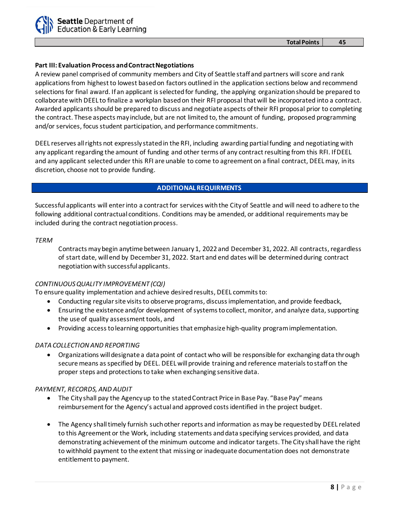#### **Part III: Evaluation Process and Contract Negotiations**

A review panel comprised of community members and City of Seattle staff and partners will score and rank applications from highest to lowest based on factors outlined in the application sections below and recommend selections for final award. If an applicant is selected for funding, the applying organization should be prepared to collaborate with DEEL to finalize a workplan based on their RFI proposal that will be incorporated into a contract. Awarded applicantsshould be prepared to discuss and negotiate aspects of their RFI proposal prior to completing the contract. These aspects may include, but are not limited to, the amount of funding, proposed programming and/or services, focus student participation, and performance commitments.

DEEL reserves all rights not expressly stated in the RFI, including awarding partial funding and negotiating with any applicant regarding the amount of funding and other terms of any contract resulting from this RFI. If DEEL and any applicant selected under this RFI are unable to come to agreement on a final contract, DEEL may, in its discretion, choose not to provide funding.

#### **ADDITIONAL REQUIRMENTS**

Successful applicants will enter into a contract for services with the City of Seattle and will need to adhere to the following additional contractual conditions. Conditions may be amended, or additional requirements may be included during the contract negotiation process.

#### *TERM*

Contracts may begin anytime between January 1, 2022 and December 31, 2022. All contracts, regardless of start date, will end by December 31, 2022. Start and end dates will be determined during contract negotiation with successful applicants.

#### *CONTINUOUS QUALITY IMPROVEMENT (CQI)*

To ensure quality implementation and achieve desired results, DEEL commits to:

- Conducting regular site visits to observe programs, discuss implementation, and provide feedback,
- Ensuring the existence and/or development of systems to collect, monitor, and analyze data, supporting the use of quality assessment tools, and
- Providing access to learning opportunities that emphasize high-quality program implementation.

#### *DATA COLLECTION AND REPORTING*

• Organizations will designate a data point of contact who will be responsible for exchanging data through secure means as specified by DEEL. DEEL will provide training and reference materials to staff on the proper steps and protections to take when exchanging sensitive data.

#### *PAYMENT, RECORDS, AND AUDIT*

- The City shall pay the Agency up to the stated Contract Price in Base Pay. "Base Pay" means reimbursement for the Agency's actual and approved costs identified in the project budget.
- The Agency shall timely furnish such other reports and information as may be requested by DEEL related to this Agreement or the Work, including statements and data specifying services provided, and data demonstrating achievement of the minimum outcome and indicator targets. The City shall have the right to withhold payment to the extent that missing or inadequate documentation does not demonstrate entitlement to payment.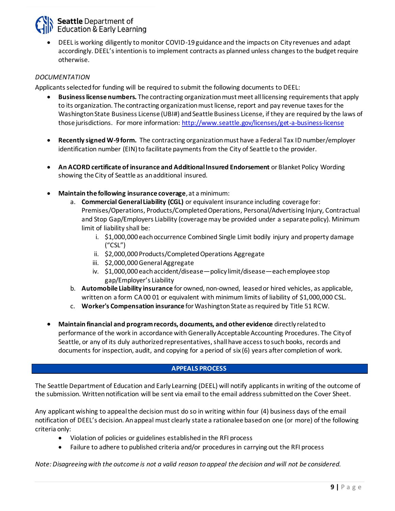

• DEEL is working diligently to monitor COVID-19 guidance and the impacts on City revenues and adapt accordingly. DEEL's intention is to implement contracts as planned unless changes to the budget require otherwise.

#### *DOCUMENTATION*

Applicants selected for funding will be required to submit the following documents to DEEL:

- **Business license numbers.** The contracting organization must meet all licensing requirements that apply to its organization. The contracting organization must license, report and pay revenue taxes for the Washington State Business License (UBI#) and Seattle Business License, if they are required by the laws of those jurisdictions. For more information[: http://www.seattle.gov/licenses/get-a-business-license](http://www.seattle.gov/licenses/get-a-business-license)
- **Recently signed W-9 form.** The contracting organization must have a Federal Tax ID number/employer identification number (EIN) to facilitate payments from the City of Seattle to the provider.
- **An ACORD certificate of insurance and Additional Insured Endorsement** or Blanket Policy Wording showing the City of Seattle as an additional insured.
- **Maintain the following insurance coverage**, at a minimum:
	- a. **Commercial General Liability (CGL)** or equivalent insurance including coverage for: Premises/Operations, Products/Completed Operations, Personal/Advertising Injury, Contractual and Stop Gap/Employers Liability (coverage may be provided under a separate policy). Minimum limit of liability shall be:
		- i. \$1,000,000 each occurrence Combined Single Limit bodily injury and property damage ("CSL")
		- ii. \$2,000,000 Products/Completed Operations Aggregate
		- iii. \$2,000,000 General Aggregate
		- iv. \$1,000,000 each accident/disease—policy limit/disease—each employee stop gap/Employer's Liability
	- b. **Automobile Liability insurance** for owned, non-owned, leased or hired vehicles, as applicable, written on a form CA 00 01 or equivalent with minimum limits of liability of \$1,000,000 CSL.
	- c. **Worker's Compensation insurance** for Washington State as required by Title 51 RCW.
- **Maintain financial and program records, documents, and other evidence** directly related to performance of the work in accordance with Generally Acceptable Accounting Procedures. The City of Seattle, or any of its duly authorized representatives, shall have access to such books, records and documents for inspection, audit, and copying for a period of six (6) years after completion of work.

#### **APPEALS PROCESS**

The Seattle Department of Education and Early Learning (DEEL) will notify applicants in writing of the outcome of the submission. Written notification will be sent via email to the email address submitted on the Cover Sheet.

Any applicant wishing to appeal the decision must do so in writing within four (4) business days of the email notification of DEEL's decision. An appeal must clearly state a rationalee based on one (or more) of the following criteria only:

- Violation of policies or guidelines established in the RFI process
- Failure to adhere to published criteria and/or procedures in carrying out the RFI process

*Note: Disagreeing with the outcome is not a valid reason to appeal the decision and will not be considered.*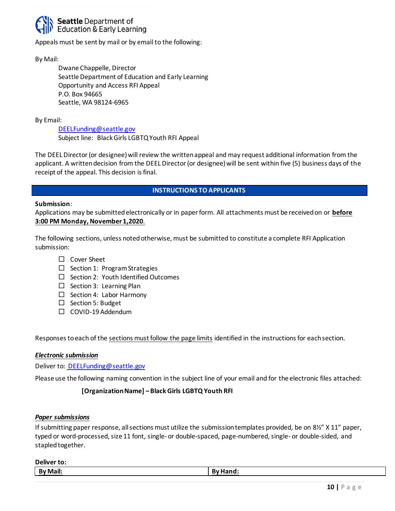

Appeals must be sent by mail or by email to the following:

By Mail:

Dwane Chappelle, Director Seattle Department of Education and Early Learning Opportunity and Access RFI Appeal P.O. Box 94665 Seattle, WA 98124-6965

By Email:

[DEELFunding@seattle.gov](mailto:education@seattle.gov) Subject line: Black Girls LGBTQYouth RFI Appeal

The DEEL Director (or designee) will review the written appeal and may request additional information from the applicant. A written decision from the DEEL Director (or designee) will be sent within five (5) business days of the receipt of the appeal. This decision is final.

#### **INSTRUCTIONS TO APPLICANTS**

#### **Submission**:

Applications may be submitted electronically or in paper form. All attachments must be received on or **before 3:00 PM Monday, November 1,2020**.

The following sections, unless noted otherwise, must be submitted to constitute a complete RFI Application submission:

- □ Cover Sheet
- $\square$  Section 1: Program Strategies
- $\square$  Section 2: Youth Identified Outcomes
- $\Box$  Section 3: Learning Plan
- $\Box$  Section 4: Labor Harmony
- $\Box$  Section 5: Budget
- $\Box$  COVID-19 Addendum

Responses to each of the sections must follow the page limits identified in the instructions for each section.

#### *Electronic submission*

Deliver to[: DEELFunding@seattle.gov](mailto:%20DEELFunding@seattle.gov)

Please use the following naming convention in the subject line of your email and for the electronic files attached:

#### **[Organization Name] – Black Girls LGBTQ Youth RFI**

#### *Paper submissions*

If submitting paper response, all sections must utilize the submission templates provided, be on  $8\frac{1}{2}$  X 11" paper, typed or word-processed, size 11 font, single-or double-spaced, page-numbered, single- or double-sided, and stapled together.

| <b>Deliver to:</b> |       |
|--------------------|-------|
| ' Mail:<br>By      | nano: |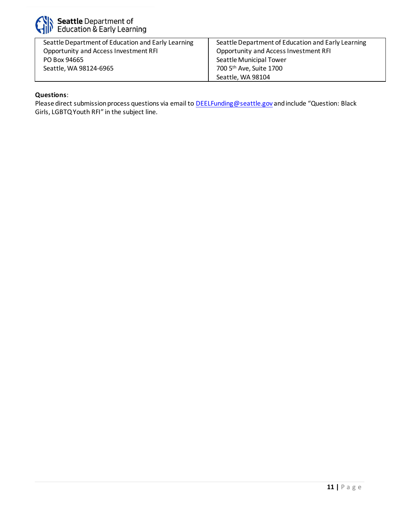

Seattle Department of Education and Early Learning Opportunity and Access Investment RFI PO Box 94665 Seattle, WA 98124-6965

Seattle Department of Education and Early Learning Opportunity and Access Investment RFI Seattle Municipal Tower 700 5th Ave, Suite 1700 Seattle, WA 98104

#### **Questions**:

Please direct submission process questions via email to **DEELFunding@seattle.gov** and include "Question: Black Girls, LGBTQ Youth RFI" in the subject line.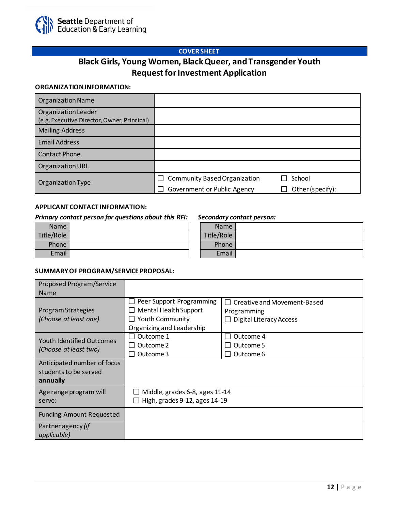

#### **COVER SHEET**

### **Black Girls, Young Women, Black Queer, and Transgender Youth Request for Investment Application**

#### **ORGANIZATION INFORMATION:**

| <b>Organization Name</b>                                           |                                             |                  |
|--------------------------------------------------------------------|---------------------------------------------|------------------|
| Organization Leader<br>(e.g. Executive Director, Owner, Principal) |                                             |                  |
| <b>Mailing Address</b>                                             |                                             |                  |
| <b>Email Address</b>                                               |                                             |                  |
| <b>Contact Phone</b>                                               |                                             |                  |
| Organization URL                                                   |                                             |                  |
| Organization Type                                                  | <b>Community Based Organization</b>         | School           |
|                                                                    | Government or Public Agency<br>$\mathbf{L}$ | Other (specify): |

#### **APPLICANT CONTACT INFORMATION:**

#### *Primary contact person for questions about this RFI: Secondary contact person:*

| <b>Name</b> |  |
|-------------|--|
| Title/Role  |  |
| Phone       |  |
| Email       |  |

| <b>Name</b> |  |
|-------------|--|
| Title/Role  |  |
| Phone       |  |
| Email       |  |

#### **SUMMARY OF PROGRAM/SERVICE PROPOSAL:**

| Proposed Program/Service                                         |                                                                                                          |                                                                                     |
|------------------------------------------------------------------|----------------------------------------------------------------------------------------------------------|-------------------------------------------------------------------------------------|
| <b>Name</b>                                                      |                                                                                                          |                                                                                     |
| Program Strategies<br>(Choose at least one)                      | Peer Support Programming<br>Mental Health Support<br>$\Box$ Youth Community<br>Organizing and Leadership | $\Box$ Creative and Movement-Based<br>Programming<br>$\Box$ Digital Literacy Access |
| <b>Youth Identified Outcomes</b><br>(Choose at least two)        | Outcome 1<br>Outcome 2<br>Outcome 3                                                                      | Outcome 4<br>Outcome 5<br>Outcome 6                                                 |
| Anticipated number of focus<br>students to be served<br>annually |                                                                                                          |                                                                                     |
| Age range program will<br>serve:                                 | Middle, grades 6-8, ages 11-14<br>High, grades 9-12, ages 14-19                                          |                                                                                     |
| <b>Funding Amount Requested</b>                                  |                                                                                                          |                                                                                     |
| Partner agency (if<br><i>applicable</i> )                        |                                                                                                          |                                                                                     |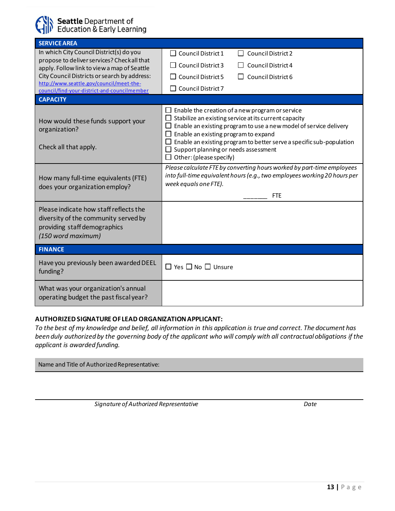

| <b>SERVICE AREA</b>                                                                                                                  |                                                                                                                                                                                                                                                                                                                                                                                |
|--------------------------------------------------------------------------------------------------------------------------------------|--------------------------------------------------------------------------------------------------------------------------------------------------------------------------------------------------------------------------------------------------------------------------------------------------------------------------------------------------------------------------------|
| In which City Council District(s) do you                                                                                             | Council District 1<br>Council District 2<br>- 1                                                                                                                                                                                                                                                                                                                                |
| propose to deliver services? Checkall that<br>apply. Follow link to view a map of Seattle                                            | Council District 3<br>Council District 4                                                                                                                                                                                                                                                                                                                                       |
| City Council Districts or search by address:                                                                                         | Council District 6<br>Council District 5                                                                                                                                                                                                                                                                                                                                       |
| http://www.seattle.gov/council/meet-the-<br>council/find-your-district-and-councilmember                                             | Council District 7                                                                                                                                                                                                                                                                                                                                                             |
| <b>CAPACITY</b>                                                                                                                      |                                                                                                                                                                                                                                                                                                                                                                                |
| How would these funds support your<br>organization?<br>Check all that apply.                                                         | Enable the creation of a new program or service<br>Stabilize an existing service at its current capacity<br>$\Box$ Enable an existing program to use a new model of service delivery<br>Enable an existing program to expand<br>Enable an existing program to better serve a specific sub-population<br>Support planning or needs assessment<br>$\Box$ Other: (please specify) |
| How many full-time equivalents (FTE)<br>does your organization employ?                                                               | Please calculate FTE by converting hours worked by part-time employees<br>into full-time equivalent hours (e.g., two employees working 20 hours per<br>week equals one FTE).<br><b>FTF</b>                                                                                                                                                                                     |
|                                                                                                                                      |                                                                                                                                                                                                                                                                                                                                                                                |
| Please indicate how staff reflects the<br>diversity of the community served by<br>providing staff demographics<br>(150 word maximum) |                                                                                                                                                                                                                                                                                                                                                                                |
| <b>FINANCE</b>                                                                                                                       |                                                                                                                                                                                                                                                                                                                                                                                |
| Have you previously been awarded DEEL<br>funding?                                                                                    | $\Box$ Yes $\Box$ No $\Box$ Unsure                                                                                                                                                                                                                                                                                                                                             |
| What was your organization's annual<br>operating budget the past fiscal year?                                                        |                                                                                                                                                                                                                                                                                                                                                                                |

#### **AUTHORIZED SIGNATURE OF LEAD ORGANIZATION APPLICANT:**

*To the best of my knowledge and belief, all information in this application is true and correct. The document has been duly authorized by the governing body of the applicant who will comply with all contractual obligations if the applicant is awarded funding.*

Name and Title of Authorized Representative:

*Signature of Authorized Representative Date*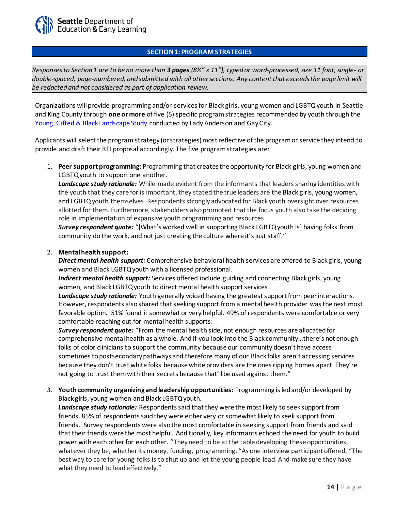

#### **SECTION 1: PROGRAM STRATEGIES**

*Responses to Section 1 are to be no more than 3 pages (8½" x 11"), typed or word-processed, size 11 font, single- or double-spaced, page-numbered, and submitted with all other sections. Any content that exceeds the page limit will be redacted and not considered as part of application review.* 

Organizations will provide programming and/or services for Black girls, young women and LGBTQ youth in Seattle and King County through **one or more** of five (5) specific program strategies recommended by youth through the [Young, Gifted & Black Landscape Study](https://seattlegov.sharepoint.com/sites/DEEL/K12Postsecondary/1%20Management%20%20Operations/CP%20Gonzalez%20CBA%20Black%20Girls/Young%20Gifted%20and%20Black_Landscape%20Study_FINAL_5.28.21.pdf) conducted by Lady Anderson and Gay City.

Applicants will select the program strategy (or strategies) most reflective of the program or service they intend to provide and draft their RFI proposal accordingly. The five program strategies are:

1. **Peer support programming:** Programming that creates the opportunity for Black girls, young women and LGBTQyouth to support one another.

*Landscape study rationale:* While made evident from the informants that leaders sharing identities with the youth that they care for is important, they stated the true leaders are the Black girls, young women, and LGBTQyouth themselves. Respondents strongly advocated for Black youth oversight over resources allotted for them. Furthermore, stakeholders also promoted that the focus youth also take the deciding role in implementation of expansive youth programming and resources.

*Survey respondent quote:* "[What's worked well in supporting Black LGBTQ youth is] having folks from community do the work, and not just creating the culture where it's just staff."

#### 2. **Mental health support:**

*Direct mental health support:* Comprehensive behavioral health services are offered to Black girls, young women and Black LGBTQ youth with a licensed professional.

*Indirect mental health support:* Services offered include guiding and connecting Black girls, young women, and Black LGBTQ youth to direct mental health support services.

*Landscape study rationale:* Youth generally voiced having the greatest support from peer interactions. However, respondents also shared that seeking support from a mental health provider was the next most favorable option. 51% found it somewhat or very helpful. 49% of respondents were comfortable or very comfortable reaching out for mental health supports.

*Survey respondent quote:* "From the mental health side, not enough resources are allocated for comprehensive mental health as a whole. And if you look into the Black community…there's not enough folks of color clinicians to support the community because our community doesn't have access sometimes to postsecondary pathways and therefore many of our Black folks aren't accessing services because they don't trust white folks because white providers are the ones ripping homes apart. They're not going to trust them with their secrets because that'll be used against them."

3. **Youth community organizing and leadership opportunities:** Programming is led and/or developed by Black girls, young women and Black LGBTQ youth.

*Landscape study rationale:* Respondents said that they were the most likely to seek support from friends. 85% of respondents saidthey were either very or somewhat likely to seek support from friends. Survey respondents were also the most comfortable in seeking support from friends and said that their friends were the most helpful. Additionally, key informants echoed the need for youth to build power with each other for each other. "They need to be at the table developing these opportunities, whatever they be, whether its money, funding, programming. "As one interview participant offered, "The best way to care for young folks is to shut up and let the young people lead. And make sure they have what they need to lead effectively."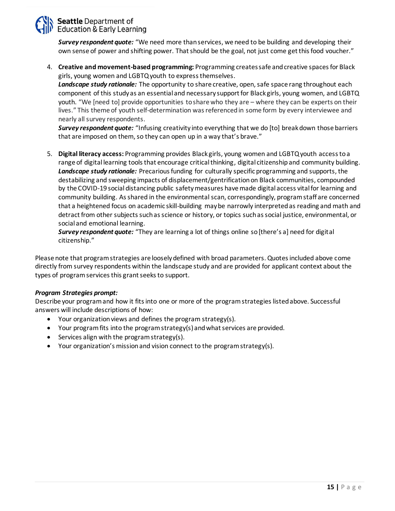

*Survey respondent quote:* "We need more than services, we need to be building and developing their own sense of power and shifting power. That should be the goal, not just come get this food voucher."

4. **Creative and movement-based programming:** Programming creates safe and creative spaces for Black girls, young women and LGBTQ youth to express themselves.

*Landscape study rationale:* The opportunity to share creative, open, safe space rang throughout each component of this study as an essential and necessary support for Black girls, young women, and LGBTQ youth. "We [need to] provide opportunities to share who they are – where they can be experts on their lives." This theme of youth self-determination was referenced in some form by every interviewee and nearly all survey respondents.

*Survey respondent quote:* "Infusing creativity into everything that we do [to] break down those barriers that are imposed on them, so they can open up in a way that's brave."

5. **Digital literacy access:** Programming provides Black girls, young women and LGBTQ youth access toa range of digital learning tools that encourage critical thinking, digital citizenship and community building. *Landscape study rationale:* Precarious funding for culturally specific programming and supports, the destabilizing and sweeping impacts of displacement/gentrification on Black communities, compounded by the COVID-19 social distancing public safety measures have made digital access vital for learning and community building. As shared in the environmental scan, correspondingly, program staff are concerned that a heightened focus on academic skill-building may be narrowly interpreted as reading and math and detract from other subjects such as science or history, or topics such as social justice, environmental, or social and emotional learning.

*Survey respondent quote:* "They are learning a lot of things online so [there's a] need for digital citizenship."

Please note that program strategies are loosely defined with broad parameters. Quotes included above come directly from survey respondents within the landscape study and are provided for applicant context about the types of program services this grant seeks to support.

#### *Program Strategies prompt:*

Describe your program and how it fits into one or more of the program strategies listed above. Successful answers will include descriptions of how:

- Your organization views and defines the program strategy(s).
- Your program fits into the program strategy(s) and what services are provided.
- Services align with the program strategy(s).
- Your organization's mission and vision connect to the program strategy(s).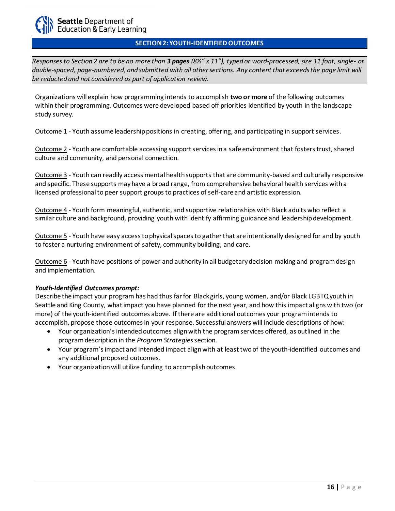

#### **SECTION 2: YOUTH-IDENTIFIED OUTCOMES**

*Responses to Section 2 are to be no more than 3 pages (8½" x 11"), typed or word-processed, size 11 font, single- or double-spaced, page-numbered, and submitted with all other sections. Any content that exceeds the page limit will be redacted and not considered as part of application review.* 

Organizations will explain how programming intends to accomplish **two or more** of the following outcomes within their programming. Outcomes were developed based off priorities identified by youth in the landscape study survey.

Outcome 1 - Youth assume leadership positions in creating, offering, and participating in support services.

Outcome 2 - Youth are comfortable accessing support services in a safe environment that fosters trust, shared culture and community, and personal connection.

Outcome 3 - Youth can readily access mental health supports that are community-based and culturally responsive and specific. These supports may have a broad range, from comprehensive behavioral health services with a licensed professional to peer support groups to practices of self-care and artistic expression.

Outcome 4 - Youth form meaningful, authentic, and supportive relationships with Black adults who reflect a similar culture and background, providing youth with identify affirming guidance and leadership development.

Outcome 5 - Youth have easy access to physical spaces to gather that are intentionally designed for and by youth to foster a nurturing environment of safety, community building, and care.

Outcome 6 - Youth have positions of power and authority in all budgetary decision making and program design and implementation.

#### *Youth-Identified Outcomes prompt:*

Describe the impact your program has had thus far for Black girls, young women, and/or Black LGBTQyouth in Seattle and King County, what impact you have planned for the next year, and how this impact aligns with two (or more) of the youth-identified outcomes above. If there are additional outcomes your program intends to accomplish, propose those outcomes in your response. Successful answers will include descriptions of how:

- Your organization's intended outcomes align with the program services offered, as outlined in the program description in the *Program Strategies*section.
- Your program's impact and intended impact align with at least two of the youth-identified outcomes and any additional proposed outcomes.
- Your organization will utilize funding to accomplish outcomes.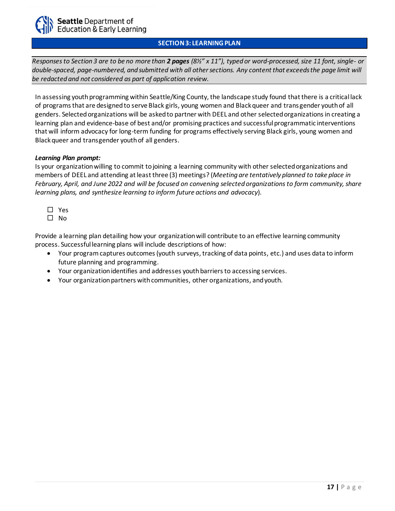

#### **SECTION 3: LEARNING PLAN**

*Responses to Section 3 are to be no more than 2 pages (8½" x 11"), typed or word-processed, size 11 font, single- or double-spaced, page-numbered, and submitted with all other sections. Any content that exceeds the page limit will be redacted and not considered as part of application review.* 

In assessing youth programming within Seattle/King County, the landscape study found that there is a critical lack of programs that are designed to serve Black girls, young women and Black queer and trans gender youth of all genders. Selected organizations will be asked to partner with DEEL and other selected organizations in creating a learning plan and evidence-base of best and/or promising practices and successful programmatic interventions that will inform advocacy for long-term funding for programs effectively serving Black girls, young women and Black queer and transgender youth of all genders.

#### *Learning Plan prompt:*

Is your organization willing to commit to joining a learning community with other selected organizations and members of DEEL and attending at least three (3) meetings? (*Meeting are tentatively planned to take place in February, April, and June 2022 and will be focused on convening selected organizationsto form community, share learning plans, and synthesize learning to inform future actions and advocacy*).

- □ Yes
- $\Box$  No

Provide a learning plan detailing how your organization will contribute to an effective learning community process. Successful learning plans will include descriptions of how:

- Your program captures outcomes (youth surveys, tracking of data points, etc.) and uses data to inform future planning and programming.
- Your organization identifies and addresses youth barriers to accessing services.
- Your organization partners with communities, other organizations, and youth.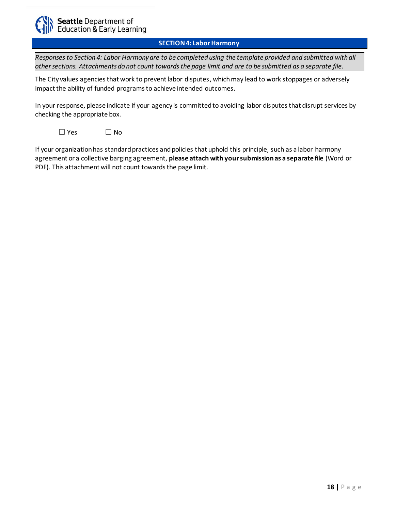

#### **SECTION 4: Labor Harmony**

*Responses to Section 4: Labor Harmony are to be completed using the template provided and submitted with all other sections. Attachments do not count towards the page limit and are to be submitted as a separate file.* 

The City values agencies that work to prevent labor disputes, which may lead to work stoppages or adversely impact the ability of funded programs to achieve intended outcomes.

In your response, please indicate if your agency is committed to avoiding labor disputes that disrupt services by checking the appropriate box.

 $\square$  Yes  $\square$  No

If your organization has standard practices and policies that uphold this principle, such as a labor harmony agreement or a collective barging agreement, **please attach with your submission as a separate file** (Word or PDF). This attachment will not count towards the page limit.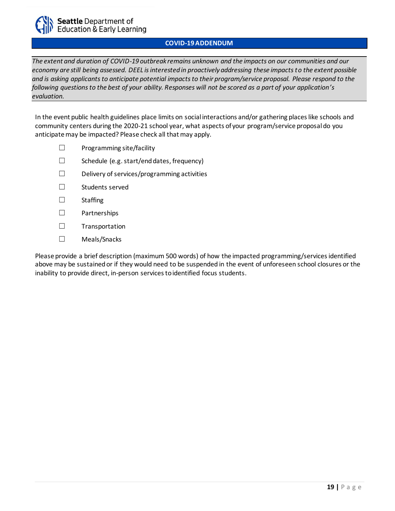#### **COVID-19 ADDENDUM**

*The extent and duration of COVID-19 outbreak remains unknown and the impacts on our communities and our economy are still being assessed. DEEL is interested in proactively addressing these impacts to the extent possible and is asking applicants to anticipate potential impacts to their program/service proposal. Please respond to the following questionsto the best of your ability. Responses will not be scored as a part of your application's evaluation.*

In the event public health guidelines place limits on social interactions and/or gathering places like schools and community centers during the 2020-21 school year, what aspects of your program/service proposal do you anticipate may be impacted? Please check all that may apply.

- ☐ Programming site/facility
- ☐ Schedule (e.g. start/end dates, frequency)
- ☐ Delivery of services/programming activities
- ☐ Students served
- ☐ Staffing
- ☐ Partnerships
- ☐ Transportation
- ☐ Meals/Snacks

Please provide a brief description (maximum 500 words) of how the impacted programming/services identified above may be sustained or if they would need to be suspended in the event of unforeseen school closures or the inability to provide direct, in-person services to identified focus students.